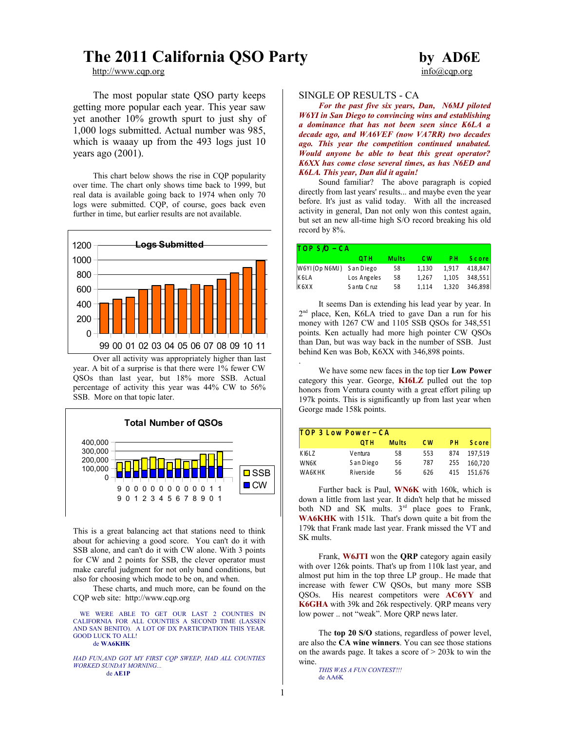## **The 2011 California QSO Party by AD6E**

The most popular state QSO party keeps getting more popular each year. This year saw yet another 10% growth spurt to just shy of 1,000 logs submitted. Actual number was 985, which is waaay up from the 493 logs just 10 years ago (2001).

This chart below shows the rise in CQP popularity over time. The chart only shows time back to 1999, but real data is available going back to 1974 when only 70 logs were submitted. CQP, of course, goes back even further in time, but earlier results are not available.



Over all activity was appropriately higher than last year. A bit of a surprise is that there were 1% fewer CW QSOs than last year, but 18% more SSB. Actual percentage of activity this year was 44% CW to 56% SSB. More on that topic later.



This is a great balancing act that stations need to think about for achieving a good score. You can't do it with SSB alone, and can't do it with CW alone. With 3 points for CW and 2 points for SSB, the clever operator must make careful judgment for not only band conditions, but also for choosing which mode to be on, and when.

These charts, and much more, can be found on the CQP web site: http://www.cqp.org

WE WERE ABLE TO GET OUR LAST 2 COUNTIES IN CALIFORNIA FOR ALL COUNTIES A SECOND TIME (LASSEN AND SAN BENITO). A LOT OF DX PARTICIPATION THIS YEAR. GOOD LUCK TO ALL! de **WA6KHK**

*HAD FUN,AND GOT MY FIRST CQP SWEEP, HAD ALL COUNTIES WORKED SUNDAY MORNING...* de **AE1P**

# [http://www.cqp.org](http://www.cqp.org/) info@cqp.org info@cqp.org

#### SINGLE OP RESULTS - CA

*For the past five six years, Dan, N6MJ piloted W6YI in San Diego to convincing wins and establishing a dominance that has not been seen since K6LA a decade ago, and WA6VEF (now VA7RR) two decades ago. This year the competition continued unabated. Would anyone be able to beat this great operator? K6XX has come close several times, as has N6ED and K6LA. This year, Dan did it again!* 

Sound familiar? The above paragraph is copied directly from last years' results... and maybe even the year before. It's just as valid today. With all the increased activity in general, Dan not only won this contest again, but set an new all-time high S/O record breaking his old record by 8%.

| $TOP S/O - CA$           |              |              |           |       |              |  |  |  |
|--------------------------|--------------|--------------|-----------|-------|--------------|--|--|--|
|                          | отн          | <b>Mults</b> | <b>CW</b> | PН    | <b>Score</b> |  |  |  |
| W6YI (Op N6MJ) San Diego |              | 58           | 1,130     | 1,917 | 418,847      |  |  |  |
| K6LA                     | Los Angeles  | 58           | 1.267     | 1,105 | 348,551      |  |  |  |
| K6XX                     | S anta C ruz | 58           | 1.114     | 1.320 | 346.898      |  |  |  |

It seems Dan is extending his lead year by year. In 2<sup>nd</sup> place, Ken, K6LA tried to gave Dan a run for his money with 1267 CW and 1105 SSB QSOs for 348,551 points. Ken actually had more high pointer CW QSOs than Dan, but was way back in the number of SSB. Just behind Ken was Bob, K6XX with 346,898 points.

We have some new faces in the top tier **Low Power** category this year. George, **KI6LZ** pulled out the top honors from Ventura county with a great effort piling up 197k points. This is significantly up from last year when George made 158k points.

| TOP 3 Low Power - CA |            |              |           |     |              |  |  |  |
|----------------------|------------|--------------|-----------|-----|--------------|--|--|--|
|                      | отн        | <b>Mults</b> | <b>CW</b> | PН  | <b>Score</b> |  |  |  |
| K IGLZ               | Ventura    | 58           | 553       | 874 | 197.519      |  |  |  |
| WN6K                 | S an Diego | 56           | 787       | 255 | 160.720      |  |  |  |
| WA6KHK               | Riverside  | 56           | 626       | 415 | 151.676      |  |  |  |

Further back is Paul, **WN6K** with 160k, which is down a little from last year. It didn't help that he missed both ND and SK mults.  $3<sup>rd</sup>$  place goes to Frank, **WA6KHK** with 151k. That's down quite a bit from the 179k that Frank made last year. Frank missed the VT and SK mults.

Frank, **W6JTI** won the **QRP** category again easily with over 126k points. That's up from 110k last year, and almost put him in the top three LP group.. He made that increase with fewer CW QSOs, but many more SSB QSOs. His nearest competitors were **AC6YY** and **K6GHA** with 39k and 26k respectively. QRP means very low power .. not "weak". More QRP news later.

The **top 20 S/O** stations, regardless of power level, are also the **CA wine winners**. You can see those stations on the awards page. It takes a score of > 203k to win the wine.

*THIS WAS A FUN CONTEST!!!* de AA6K

.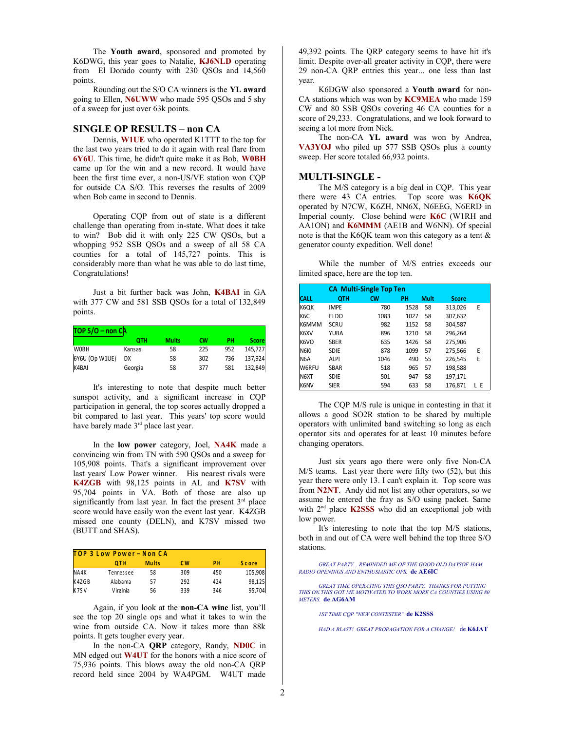The **Youth award**, sponsored and promoted by K6DWG, this year goes to Natalie, **KJ6NLD** operating from El Dorado county with 230 QSOs and 14,560 points.

Rounding out the S/O CA winners is the **YL award** going to Ellen, **N6UWW** who made 595 QSOs and 5 shy of a sweep for just over 63k points.

#### **SINGLE OP RESULTS – non CA**

Dennis, **W1UE** who operated K1TTT to the top for the last two years tried to do it again with real flare from **6Y6U**. This time, he didn't quite make it as Bob, **W0BH** came up for the win and a new record. It would have been the first time ever, a non-US/VE station won CQP for outside CA S/O. This reverses the results of 2009 when Bob came in second to Dennis.

Operating CQP from out of state is a different challenge than operating from in-state. What does it take to win? Bob did it with only 225 CW QSOs, but a whopping 952 SSB QSOs and a sweep of all 58 CA counties for a total of 145,727 points. This is considerably more than what he was able to do last time, Congratulations!

Just a bit further back was John, **K4BAI** in GA with 377 CW and 581 SSB QSOs for a total of 132,849 points.

| $TOP S/O - non CA$ |         |              |     |     |              |  |  |  |
|--------------------|---------|--------------|-----|-----|--------------|--|--|--|
|                    | отн     | <b>Mults</b> | сw  | PН  | <b>Score</b> |  |  |  |
| <b>WOBH</b>        | Kansas  | 58           | 225 | 952 | 145,727      |  |  |  |
| 6Y6U (Op W1UE)     | DX      | 58           | 302 | 736 | 137,924      |  |  |  |
| K4BAI              | Georgia | 58           | 377 | 581 | 132,849      |  |  |  |

It's interesting to note that despite much better sunspot activity, and a significant increase in CQP participation in general, the top scores actually dropped a bit compared to last year. This years' top score would have barely made 3<sup>rd</sup> place last year.

In the **low power** category, Joel, **NA4K** made a convincing win from TN with 590 QSOs and a sweep for 105,908 points. That's a significant improvement over last years' Low Power winner. His nearest rivals were **K4ZGB** with 98,125 points in AL and **K7SV** with 95,704 points in VA. Both of those are also up significantly from last year. In fact the present  $3<sup>rd</sup>$  place score would have easily won the event last year. K4ZGB missed one county (DELN), and K7SV missed two (BUTT and SHAS).

| TOP 3 Low Power - Non CA |           |              |     |           |              |  |
|--------------------------|-----------|--------------|-----|-----------|--------------|--|
|                          | OT H      | <b>Mults</b> | C W | <b>PH</b> | <b>Score</b> |  |
| NA4K                     | Tennessee | 58           | 309 | 450       | 105,908      |  |
| K4ZGB                    | Alabama   | 57           | 292 | 424       | 98,125       |  |
| K7SV                     | Virginia  | 56           | 339 | 346       | 95.704       |  |

Again, if you look at the **non-CA wine** list, you'll see the top 20 single ops and what it takes to win the wine from outside CA. Now it takes more than 88k points. It gets tougher every year.

In the non-CA **QRP** category, Randy, **ND0C** in MN edged out **W4UT** for the honors with a nice score of 75,936 points. This blows away the old non-CA QRP record held since 2004 by WA4PGM. W4UT made

49,392 points. The QRP category seems to have hit it's limit. Despite over-all greater activity in CQP, there were 29 non-CA QRP entries this year... one less than last year.

K6DGW also sponsored a **Youth award** for non-CA stations which was won by **KC9MEA** who made 159 CW and 80 SSB QSOs covering 46 CA counties for a score of 29,233. Congratulations, and we look forward to seeing a lot more from Nick.

The non-CA **YL award** was won by Andrea, **VA3YOJ** who piled up 577 SSB QSOs plus a county sweep. Her score totaled 66,932 points.

#### **MULTI-SINGLE -**

The M/S category is a big deal in CQP. This year there were 43 CA entries. Top score was **K6QK** operated by N7CW, K6ZH, NN6X, N6EEG, N6ERD in Imperial county. Close behind were **K6C** (W1RH and AA1ON) and **K6MMM** (AE1B and W6NN). Of special note is that the K6QK team won this category as a tent & generator county expedition. Well done!

While the number of M/S entries exceeds our limited space, here are the top ten.

| <b>CA Multi-Single Top Ten</b> |             |           |           |             |              |    |
|--------------------------------|-------------|-----------|-----------|-------------|--------------|----|
| <b>CALL</b>                    | <b>OTH</b>  | <b>CW</b> | <b>PH</b> | <b>Mult</b> | <b>Score</b> |    |
| K6QK                           | <b>IMPE</b> | 780       | 1528      | 58          | 313,026      | E  |
| K6C                            | ELDO        | 1083      | 1027      | 58          | 307,632      |    |
| IK6MMM                         | SCRU        | 982       | 1152      | 58          | 304,587      |    |
| <b>K6XV</b>                    | YUBA        | 896       | 1210      | 58          | 296,264      |    |
| <b>K<sub>6VO</sub></b>         | <b>SBER</b> | 635       | 1426      | 58          | 275,906      |    |
| N6KI                           | <b>SDIE</b> | 878       | 1099      | 57          | 275,566      | E  |
| N6A                            | <b>ALPI</b> | 1046      | 490       | 55          | 226.545      | E  |
| W6RFU                          | <b>SBAR</b> | 518       | 965       | 57          | 198,588      |    |
| N <sub>6</sub> XT              | <b>SDIE</b> | 501       | 947       | 58          | 197,171      |    |
| K6NV                           | <b>SIER</b> | 594       | 633       | 58          | 176.871      | LΕ |

The CQP M/S rule is unique in contesting in that it allows a good SO2R station to be shared by multiple operators with unlimited band switching so long as each operator sits and operates for at least 10 minutes before changing operators.

Just six years ago there were only five Non-CA M/S teams. Last year there were fifty two (52), but this year there were only 13. I can't explain it. Top score was from **N2NT**. Andy did not list any other operators, so we assume he entered the fray as S/O using packet. Same with 2nd place **K2SSS** who did an exceptional job with low power.

It's interesting to note that the top M/S stations, both in and out of CA were well behind the top three S/O stations.

*GREAT PARTY... REMINDED ME OF THE GOOD OLD DAYSOF HAM RADIO OPENINGS AND ENTHUSIASTIC OPS.* **de AE6IC**

*GREAT TIME OPERATING THIS QSO PARTY. THANKS FOR PUTTING THIS ON.THIS GOT ME MOTIVATED TO WORK MORE CA COUNTIES USING 80 METERS.* **de AG6AM**

*1ST TIME CQP "NEW CONTESTER"* **de K2SSS**

*HAD A BLAST! GREAT PROPAGATION FOR A CHANGE!* de **K6JAT**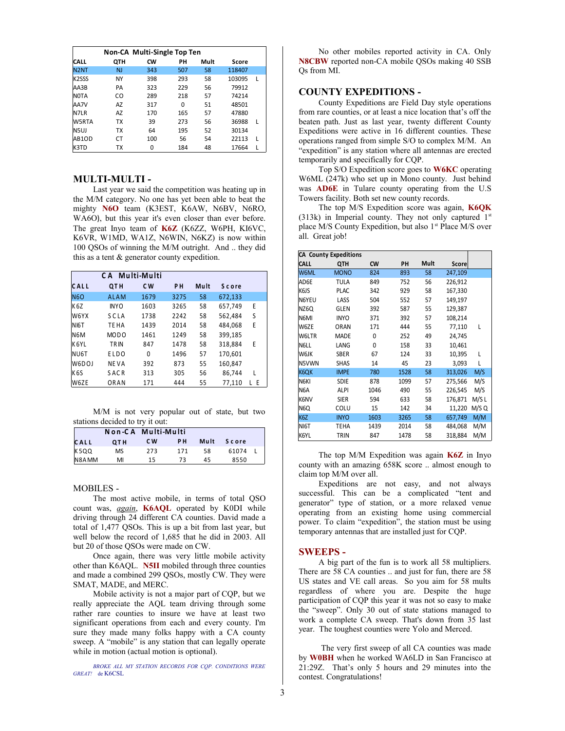| Non-CA Multi-Single Top Ten |            |           |          |      |        |   |
|-----------------------------|------------|-----------|----------|------|--------|---|
| <b>CALL</b>                 | <b>OTH</b> | <b>CW</b> | PН       | Mult | Score  |   |
| N <sub>2N</sub> T           | <b>NJ</b>  | 343       | 507      | 58   | 118407 |   |
| K <sub>2</sub> SSS          | NY         | 398       | 293      | 58   | 103095 | L |
| AA3B                        | PA         | 323       | 229      | 56   | 79912  |   |
| NOTA                        | CO         | 289       | 218      | 57   | 74214  |   |
| AA7V                        | AZ         | 317       | $\Omega$ | 51   | 48501  |   |
| <b>N7LR</b>                 | AZ         | 170       | 165      | 57   | 47880  |   |
| W5RTA                       | TX         | 39        | 273      | 56   | 36988  | L |
| N5UJ                        | TX         | 64        | 195      | 52   | 30134  |   |
| AB1OD                       | CT         | 100       | 56       | 54   | 22113  | L |
| K3TD                        | ТX         | 0         | 184      | 48   | 17664  | ı |

#### **MULTI-MULTI -**

Last year we said the competition was heating up in the M/M category. No one has yet been able to beat the mighty **N6O** team (K3EST, K6AW, N6BV, N6RO, WA6O), but this year it's even closer than ever before. The great Inyo team of **K6Z** (K6ZZ, W6PH, KI6VC, K6VR, W1MD, WA1Z, N6WIN, N6KZ) is now within 100 QSOs of winning the M/M outright. And .. they did this as a tent & generator county expedition.

|                   | CA Multi-Multi   |      |                |      |              |                   |
|-------------------|------------------|------|----------------|------|--------------|-------------------|
| CALL              | QTH              | C W  | P <sub>H</sub> | Mult | <b>Score</b> |                   |
| <b>N6O</b>        | <b>ALAM</b>      | 1679 | 3275           | 58   | 672,133      |                   |
| K <sub>6</sub> Z  | <b>INYO</b>      | 1603 | 3265           | 58   | 657,749      | E                 |
| W6YX              | SCLA             | 1738 | 2242           | 58   | 562,484      | S                 |
| N <sub>I6</sub> T | TE HA            | 1439 | 2014           | 58   | 484,068      | E                 |
| N <sub>6</sub> M  | MOD <sub>0</sub> | 1461 | 1249           | 58   | 399,185      |                   |
| K6YL              | <b>TRIN</b>      | 847  | 1478           | 58   | 318,884      | E                 |
| NU6T              | ELDO             | 0    | 1496           | 57   | 170,601      |                   |
| W6DOJ             | <b>NEVA</b>      | 392  | 873            | 55   | 160,847      |                   |
| K <sub>6</sub> S  | SACR             | 313  | 305            | 56   | 86.744       | L                 |
| W6ZE              | ORAN             | 171  | 444            | 55   | 77,110       | E<br>$\mathbf{L}$ |

M/M is not very popular out of state, but two stations decided to try it out:

|       |                 | Non-CA Multi-Multi |           |      |              |  |
|-------|-----------------|--------------------|-----------|------|--------------|--|
| CALL  | QT <sub>H</sub> | C W                | <b>PH</b> | Mult | <b>Score</b> |  |
| K5QQ  | MS              | 273                | 171       | 58   | 61074        |  |
| N8AMM | MI              | 15                 | 73        | 45   | 8550         |  |

#### MOBILES -

The most active mobile, in terms of total QSO count was, *again*, **K6AQL** operated by K0DI while driving through 24 different CA counties. David made a total of 1,477 QSOs. This is up a bit from last year, but well below the record of 1,685 that he did in 2003. All but 20 of those QSOs were made on CW.

Once again, there was very little mobile activity other than K6AQL. **N5II** mobiled through three counties and made a combined 299 QSOs, mostly CW. They were SMAT, MADE, and MERC.

Mobile activity is not a major part of CQP, but we really appreciate the AQL team driving through some rather rare counties to insure we have at least two significant operations from each and every county. I'm sure they made many folks happy with a CA county sweep. A "mobile" is any station that can legally operate while in motion (actual motion is optional).

*BROKE ALL MY STATION RECORDS FOR CQP. CONDITIONS WERE GREAT!* de K6CSL

No other mobiles reported activity in CA. Only **N8CBW** reported non-CA mobile QSOs making 40 SSB Qs from MI.

#### **COUNTY EXPEDITIONS -**

County Expeditions are Field Day style operations from rare counties, or at least a nice location that's off the beaten path. Just as last year, twenty different County Expeditions were active in 16 different counties. These operations ranged from simple S/O to complex M/M. An "expedition" is any station where all antennas are erected temporarily and specifically for CQP.

Top S/O Expedition score goes to **W6KC** operating W6ML (247k) who set up in Mono county. Just behind was **AD6E** in Tulare county operating from the U.S Towers facility. Both set new county records.

The top M/S Expedition score was again, **K6QK** (313k) in Imperial county. They not only captured  $1<sup>st</sup>$ place M/S County Expedition, but also 1<sup>st</sup> Place M/S over all. Great job!

| <b>CA County Expeditions</b> |             |      |      |      |         |       |
|------------------------------|-------------|------|------|------|---------|-------|
| <b>CALL</b>                  | QTH         | CW   | PH   | Mult | Score   |       |
| W6ML                         | <b>MONO</b> | 824  | 893  | 58   | 247,109 |       |
| AD6E                         | TULA        | 849  | 752  | 56   | 226,912 |       |
| K6JS                         | <b>PLAC</b> | 342  | 929  | 58   | 167,330 |       |
| N6YEU                        | LASS        | 504  | 552  | 57   | 149,197 |       |
| NZ6Q                         | GLEN        | 392  | 587  | 55   | 129,387 |       |
| N6MI                         | <b>INYO</b> | 371  | 392  | 57   | 108,214 |       |
| W6ZE                         | <b>ORAN</b> | 171  | 444  | 55   | 77,110  | L     |
| W6LTR                        | <b>MADE</b> | 0    | 252  | 49   | 24,745  |       |
| N6LL                         | LANG        | 0    | 158  | 33   | 10,461  |       |
| W6JK                         | <b>SBER</b> | 67   | 124  | 33   | 10,395  | L     |
| N5VWN                        | <b>SHAS</b> | 14   | 45   | 23   | 3,093   | L     |
| K6QK                         | <b>IMPE</b> | 780  | 1528 | 58   | 313,026 | M/S   |
| N6KI                         | <b>SDIE</b> | 878  | 1099 | 57   | 275,566 | M/S   |
| N <sub>6</sub> A             | <b>ALPI</b> | 1046 | 490  | 55   | 226,545 | M/S   |
| K6NV                         | <b>SIER</b> | 594  | 633  | 58   | 176,871 | M/S L |
| N <sub>6</sub> Q             | COLU        | 15   | 142  | 34   | 11,220  | M/S Q |
| K6Z                          | <b>INYO</b> | 1603 | 3265 | 58   | 657,749 | M/M   |
| NI6T                         | TEHA        | 1439 | 2014 | 58   | 484,068 | M/M   |
| K6YL                         | TRIN        | 847  | 1478 | 58   | 318,884 | M/M   |

The top M/M Expedition was again **K6Z** in Inyo county with an amazing 658K score .. almost enough to claim top M/M over all.

Expeditions are not easy, and not always successful. This can be a complicated "tent and generator" type of station, or a more relaxed venue operating from an existing home using commercial power. To claim "expedition", the station must be using temporary antennas that are installed just for CQP.

#### **SWEEPS -**

A big part of the fun is to work all 58 multipliers. There are 58 CA counties .. and just for fun, there are 58 US states and VE call areas. So you aim for 58 mults regardless of where you are. Despite the huge participation of CQP this year it was not so easy to make the "sweep". Only 30 out of state stations managed to work a complete CA sweep. That's down from 35 last year. The toughest counties were Yolo and Merced.

 The very first sweep of all CA counties was made by **W0BH** when he worked WA6LD in San Francisco at 21:29Z. That's only 5 hours and 29 minutes into the contest. Congratulations!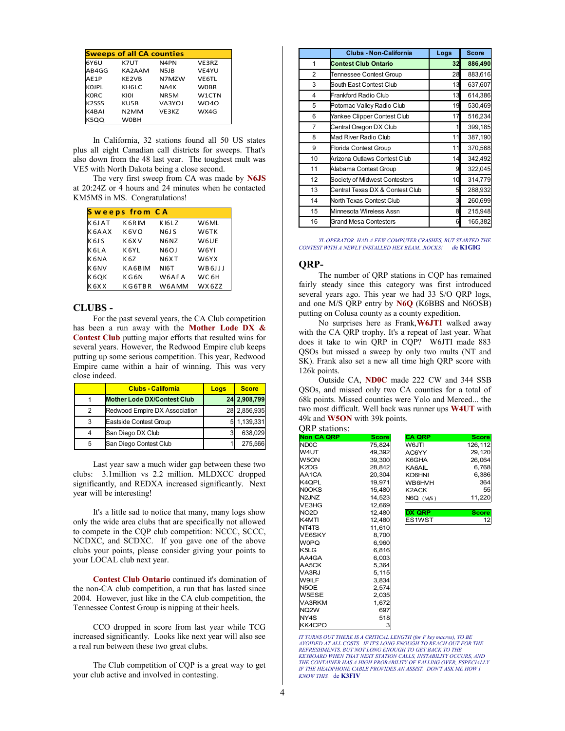| <b>Sweeps of all CA counties</b> |                   |                               |              |  |  |  |  |
|----------------------------------|-------------------|-------------------------------|--------------|--|--|--|--|
| 6Y6U                             | K7UT              | N4PN                          | VE3RZ        |  |  |  |  |
| AB4GG                            | KA2AAM            | N <sub>5</sub> J <sub>B</sub> | VE4YU        |  |  |  |  |
| AE1P                             | KE2VB             | N7MZW                         | <b>VE6TL</b> |  |  |  |  |
| KOJPL                            | <b>KH6LC</b>      | NA4K                          | <b>WOBR</b>  |  |  |  |  |
| KORC                             | KIOI              | NR <sub>5</sub> M             | W1CTN        |  |  |  |  |
| <b>K2SSS</b>                     | KU5B              | VA3YOJ                        | <b>WO40</b>  |  |  |  |  |
| K4BAI                            | N <sub>2</sub> MM | VE3KZ                         | WX4G         |  |  |  |  |
| K5QQ                             | <b>WOBH</b>       |                               |              |  |  |  |  |

In California, 32 stations found all 50 US states plus all eight Canadian call districts for sweeps. That's also down from the 48 last year. The toughest mult was VE5 with North Dakota being a close second.

The very first sweep from CA was made by **N6JS** at 20:24Z or 4 hours and 24 minutes when he contacted KM5MS in MS. Congratulations!

|                               | <b>Sweeps from CA</b> |                   |        |
|-------------------------------|-----------------------|-------------------|--------|
| K 6J AT                       | K 6R IM               | KI6LZ             | W6ML   |
| K6AAX                         | K <sub>6</sub> VO     | N6J S             | W6TK   |
| K 6J S                        | K 6X V                | N6NZ              | W6UE   |
| K 6L A                        | K 6Y L                | N <sub>6</sub> OJ | W6YI   |
| K 6NA                         | K 6Z                  | N6XT              | W6YX   |
| K 6NV                         | KA6BIM                | N <sub>I6</sub> T | WB6JJJ |
| K 6OK                         | K G 6 N               | W6AFA             | WC 6H  |
| K <sub>6</sub> X <sub>X</sub> | KG6TBR                | W6AMM             | WX6ZZ  |

#### **CLUBS -**

For the past several years, the CA Club competition has been a run away with the **Mother Lode DX & Contest Club** putting major efforts that resulted wins for several years. However, the Redwood Empire club keeps putting up some serious competition. This year, Redwood Empire came within a hair of winning. This was very close indeed.

|   | <b>Clubs - California</b>          | Loas | <b>Score</b> |
|---|------------------------------------|------|--------------|
|   | <b>Mother Lode DX/Contest Club</b> |      | 24 2,908,799 |
| 2 | Redwood Empire DX Association      |      | 28 2,856,935 |
| 3 | Eastside Contest Group             |      | 1,139,331    |
| 4 | San Diego DX Club                  |      | 638,029      |
| 5 | San Diego Contest Club             |      | 275,566      |

Last year saw a much wider gap between these two clubs: 3.1million vs 2.2 million. MLDXCC dropped significantly, and REDXA increased significantly. Next year will be interesting!

It's a little sad to notice that many, many logs show only the wide area clubs that are specifically not allowed to compete in the CQP club competition: NCCC, SCCC, NCDXC, and SCDXC. If you gave one of the above clubs your points, please consider giving your points to your LOCAL club next year.

**Contest Club Ontario** continued it's domination of the non-CA club competition, a run that has lasted since 2004. However, just like in the CA club competition, the Tennessee Contest Group is nipping at their heels.

CCO dropped in score from last year while TCG increased significantly. Looks like next year will also see a real run between these two great clubs.

The Club competition of CQP is a great way to get your club active and involved in contesting.

|    | <b>Clubs - Non-California</b>   | Logs | <b>Score</b> |
|----|---------------------------------|------|--------------|
| 1  | <b>Contest Club Ontario</b>     | 32   | 886,490      |
| 2  | Tennessee Contest Group         | 28   | 883,616      |
| 3  | South East Contest Club         | 13   | 637,607      |
| 4  | Frankford Radio Club            | 13   | 614,386      |
| 5  | Potomac Valley Radio Club       | 19   | 530,469      |
| 6  | Yankee Clipper Contest Club     | 17   | 516,234      |
| 7  | Central Oregon DX Club          |      | 399,185      |
| 8  | Mad River Radio Club            | 11   | 387,190      |
| 9  | Florida Contest Group           | 11   | 370,568      |
| 10 | Arizona Outlaws Contest Club    | 14   | 342,492      |
| 11 | Alabama Contest Group           | 9    | 322,045      |
| 12 | Society of Midwest Contesters   | 10   | 314,779      |
| 13 | Central Texas DX & Contest Club | 5    | 288,932      |
| 14 | North Texas Contest Club        | 3    | 260,699      |
| 15 | Minnesota Wireless Assn         | 8    | 215,948      |
| 16 | <b>Grand Mesa Contesters</b>    | 6    | 165,382      |

*YL OPERATOR. HAD A FEW COMPUTER CRASHES, BUT STARTED THE CONTEST WITH A NEWLY INSTALLED HEX BEAM...ROCKS! d*e **K1GIG**

#### **QRP-**

The number of QRP stations in CQP has remained fairly steady since this category was first introduced several years ago. This year we had 33 S/O QRP logs, and one M/S QRP entry by **N6Q** (K6BBS and N6OSB) putting on Colusa county as a county expedition.

No surprises here as Frank,**W6JTI** walked away with the CA QRP trophy. It's a repeat of last year. What does it take to win QRP in CQP? W6JTI made 883 QSOs but missed a sweep by only two mults (NT and SK). Frank also set a new all time high QRP score with 126k points.

Outside CA, **ND0C** made 222 CW and 344 SSB QSOs, and missed only two CA counties for a total of 68k points. Missed counties were Yolo and Merced... the two most difficult. Well back was runner ups **W4UT** with 49k and **W5ON** with 39k points.

| <b>ORP</b> stations:<br><b>Non CA QRP</b> | <b>Score</b> | <b>CA QRP</b> | <b>Score</b> |
|-------------------------------------------|--------------|---------------|--------------|
| ND <sub>0</sub> C                         | 75.824       | W6JTI         | 126,112      |
| W4UT                                      | 49,392       | AC6YY         | 29,120       |
| W5ON                                      | 39,300       | K6GHA         | 26,064       |
| K <sub>2</sub> D <sub>G</sub>             | 28.842       | KA6AIL        | 6,768        |
| AA1CA                                     | 20,304       | <b>KD6HNI</b> | 6,386        |
| K4QPL                                     | 19,971       | WB6HVH        | 364          |
| <b>NOOKS</b>                              | 15,480       | K2ACK         | 55           |
| N <sub>2JNZ</sub>                         | 14,523       | N6Q (M/S)     | 11,220       |
| VE3HG                                     | 12,669       |               |              |
| NO <sub>2</sub> D                         | 12.480       | <b>DX QRP</b> | <b>Score</b> |
| K4MTI                                     | 12,480       | ES1WST        | 12           |
| NT4TS                                     | 11,610       |               |              |
| <b>VE6SKY</b>                             | 8,700        |               |              |
| <b>WOPQ</b>                               | 6,960        |               |              |
| K5LG                                      | 6,816        |               |              |
| AA4GA                                     | 6,003        |               |              |
| AA5CK                                     | 5,364        |               |              |
| VA3RJ                                     | 5,115        |               |              |
| W9ILF                                     | 3,834        |               |              |
| N5OE                                      | 2,574        |               |              |
| W5ESE                                     | 2,035        |               |              |
| VA3RKM                                    | 1,672        |               |              |
| NQ <sub>2</sub> W                         | 697          |               |              |
| NY4S                                      | 518          |               |              |
| KK4CPO                                    | 3            |               |              |

*IT TURNS OUT THERE IS A CRITICAL LENGTH (for F key macros), TO BE AVOIDED AT ALL COSTS. IF IT'S LONG ENOUGH TO REACH OUT FOR THE REFRESHMENTS, BUT NOT LONG ENOUGH TO GET BACK TO THE KEYBOARD WHEN THAT NEXT STATION CALLS, INSTABILITY OCCURS, AND THE CONTAINER HAS A HIGH PROBABILITY OF FALLING OVER, ESPECIALLY IF THE HEADPHONE CABLE PROVIDES AN ASSIST. DON'T ASK ME HOW I KNOW THIS.* de **K3FIV**